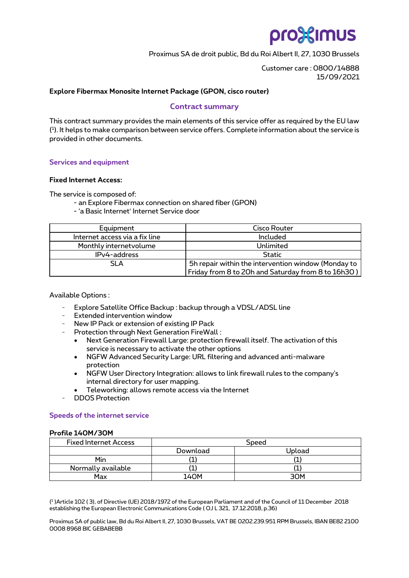# pro%imus

Proximus SA de droit public, Bd du Roi Albert II, 27, 1030 Brussels

Customer care : 0800/14888 15/09/2021

## **Explore Fibermax Monosite Internet Package (GPON, cisco router)**

# **Contract summary**

This contract summary provides the main elements of this service offer as required by the EU law ( 1 ). It helps to make comparison between service offers. Complete information about the service is provided in other documents.

## **Services and equipment**

### **Fixed Internet Access:**

The service is composed of:

- an Explore Fibermax connection on shared fiber (GPON)
- 'a Basic Internet' Internet Service door

| Equipment                      | <b>Cisco Router</b>                                 |  |  |
|--------------------------------|-----------------------------------------------------|--|--|
| Internet access via a fix line | Included                                            |  |  |
| Monthly internet volume        | Unlimited                                           |  |  |
| IPv4-address                   | <b>Static</b>                                       |  |  |
| SLA                            | 5h repair within the intervention window (Monday to |  |  |
|                                | Friday from 8 to 20h and Saturday from 8 to 16h30 ) |  |  |

Available Options :

- Explore Satellite Office Backup : backup through a VDSL/ADSL line
- Extended intervention window
- New IP Pack or extension of existing IP Pack
- Protection through Next Generation FireWall :
	- Next Generation Firewall Large: protection firewall itself. The activation of this service is necessary to activate the other options
	- NGFW Advanced Security Large: URL filtering and advanced anti-malware protection
	- NGFW User Directory Integration: allows to link firewall rules to the company's internal directory for user mapping.
	- Teleworking: allows remote access via the Internet
- DDOS Protection

### **Speeds of the internet service**

## **Profile 140M/30M**

| <b>Fixed Internet Access</b> | Speed    |        |  |
|------------------------------|----------|--------|--|
|                              | Download | Upload |  |
| Min                          |          |        |  |
| Normally available           |          |        |  |
| Max                          | LANM     | аом    |  |

( 1 )Article 102 ( 3), of Directive (UE) 2018/1972 of the European Parliament and of the Council of 11 December 2018 establishing the European Electronic Communications Code ( OJ L 321, 17.12.2018, p.36)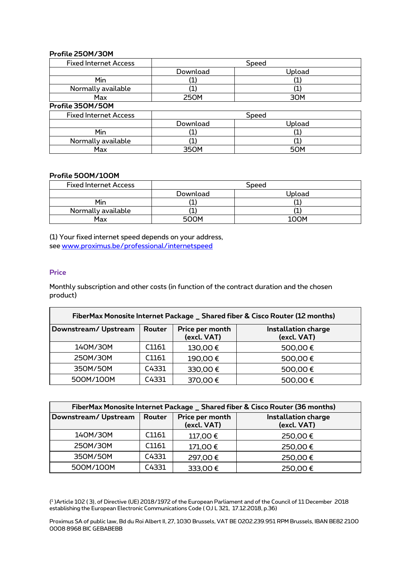# **Profile 250M/30M**

| <b>Fixed Internet Access</b> | Speed             |        |  |  |
|------------------------------|-------------------|--------|--|--|
|                              | Download          | Upload |  |  |
| Min                          | (1                |        |  |  |
| Normally available           |                   |        |  |  |
| Max                          | 250M              | 30M    |  |  |
| Profile 350M/50M             |                   |        |  |  |
| <b>Fixed Internet Access</b> | Speed             |        |  |  |
|                              | Download          | Upload |  |  |
| Min                          | $\left( 1\right)$ |        |  |  |
| Normally available           | $\mathbf 1$       |        |  |  |
| Max                          | 350M              | 50M    |  |  |

## **Profile 500M/100M**

| <b>Fixed Internet Access</b> | Speed    |        |  |
|------------------------------|----------|--------|--|
|                              | Download | Upload |  |
| Min                          |          |        |  |
| Normally available           |          |        |  |
| Max                          | 500M     | 100M   |  |

(1) Your fixed internet speed depends on your address, see [www.proximus.be/professional/internetspeed](https://eur03.safelinks.protection.outlook.com/?url=http%3A%2F%2Fwww.proximus.be%2Fprofessional%2Finternetspeed&data=04%7C01%7Cnathalie.huyghebaert%40proximus.com%7C8519c66d39a34b75cf2f08d9fb7dec1f%7Ce7ab81b21e844bf79dcbb6fec01ed138%7C0%7C0%7C637817340510632558%7CUnknown%7CTWFpbGZsb3d8eyJWIjoiMC4wLjAwMDAiLCJQIjoiV2luMzIiLCJBTiI6Ik1haWwiLCJXVCI6Mn0%3D%7C3000&sdata=oG%2Bl0qABVUYm2iSRVI%2FI84SW6EwXNBpUNwfGQ86hMdE%3D&reserved=0)

# **Price**

Monthly subscription and other costs (in function of the contract duration and the chosen product)

| FiberMax Monosite Internet Package _ Shared fiber & Cisco Router (12 months) |        |                                |                                           |  |
|------------------------------------------------------------------------------|--------|--------------------------------|-------------------------------------------|--|
| Downstream/Upstream                                                          | Router | Price per month<br>(excl. VAT) | <b>Installation charge</b><br>(excl. VAT) |  |
| 140M/30M                                                                     | C1161  | 130,00€                        | 500,00€                                   |  |
| 250M/30M                                                                     | C1161  | 190,00€                        | 500,00€                                   |  |
| 350M/50M                                                                     | C4331  | 330,00€                        | 500,00€                                   |  |
| 500M/100M                                                                    | C4331  | 370,00€                        | 500,00€                                   |  |

| FiberMax Monosite Internet Package _ Shared fiber & Cisco Router (36 months) |        |                                |                                           |  |
|------------------------------------------------------------------------------|--------|--------------------------------|-------------------------------------------|--|
| Downstream/Upstream                                                          | Router | Price per month<br>(excl. VAT) | <b>Installation charge</b><br>(excl. VAT) |  |
| 140M/30M                                                                     | C1161  | 117,00€                        | 250,00€                                   |  |
| 250M/30M                                                                     | C1161  | 171,00€                        | 250,00€                                   |  |
| 350M/50M                                                                     | C4331  | 297,00€                        | 250,00€                                   |  |
| 500M/100M                                                                    | C4331  | 333,00€                        | 250,00€                                   |  |

( 1 )Article 102 ( 3), of Directive (UE) 2018/1972 of the European Parliament and of the Council of 11 December 2018 establishing the European Electronic Communications Code ( OJ L 321, 17.12.2018, p.36)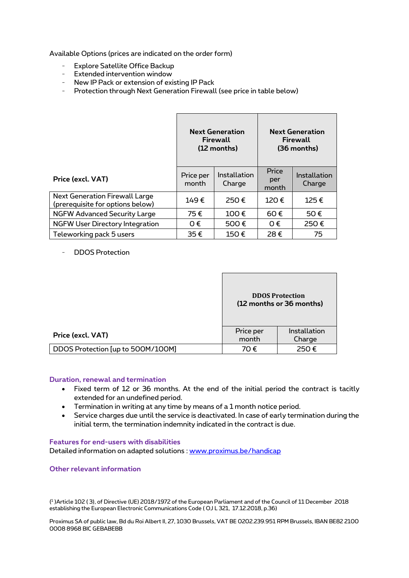Available Options (prices are indicated on the order form)

- Explore Satellite Office Backup
- Extended intervention window
- New IP Pack or extension of existing IP Pack
- Protection through Next Generation Firewall (see price in table below)

|                                                                           | <b>Next Generation</b><br>Firewall<br>(12 months) |                        | <b>Next Generation</b><br>Firewall<br>(36 months) |                        |
|---------------------------------------------------------------------------|---------------------------------------------------|------------------------|---------------------------------------------------|------------------------|
| Price (excl. VAT)                                                         | Price per<br>month                                | Installation<br>Charge | Price<br>per<br>month                             | Installation<br>Charge |
| <b>Next Generation Firewall Large</b><br>(prerequisite for options below) | 149€                                              | 250€                   | 120€                                              | 125€                   |
| <b>NGFW Advanced Security Large</b>                                       | 75€                                               | 100€                   | 60€                                               | 50€                    |
| <b>NGFW User Directory Integration</b>                                    | $0 \in$                                           | 500€                   | $0 \in$                                           | 250€                   |
| Teleworking pack 5 users                                                  | 35€                                               | 150€                   | 28€                                               | 75                     |

- DDOS Protection

|                                   | <b>DDOS Protection</b><br>(12 months or 36 months) |                        |
|-----------------------------------|----------------------------------------------------|------------------------|
| Price (excl. VAT)                 | Price per<br>month                                 | Installation<br>Charge |
| DDOS Protection [up to 500M/100M] | 70€                                                | 250€                   |

### **Duration, renewal and termination**

- Fixed term of 12 or 36 months. At the end of the initial period the contract is tacitly extended for an undefined period.
- Termination in writing at any time by means of a 1 month notice period.
- Service charges due until the service is deactivated. In case of early termination during the initial term, the termination indemnity indicated in the contract is due.

### **Features for end-users with disabilities**

Detailed information on adapted solutions : [www.proximus.be/handicap](http://www.proximus.be/handicap)

### **Other relevant information**

( 1 )Article 102 ( 3), of Directive (UE) 2018/1972 of the European Parliament and of the Council of 11 December 2018 establishing the European Electronic Communications Code ( OJ L 321, 17.12.2018, p.36)